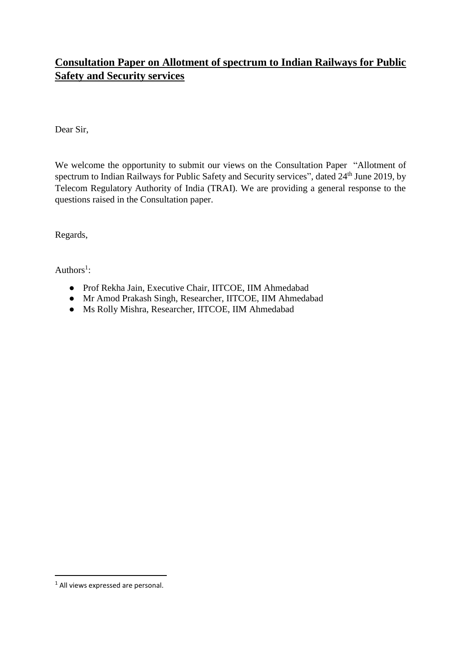# **Consultation Paper on Allotment of spectrum to Indian Railways for Public Safety and Security services**

Dear Sir,

We welcome the opportunity to submit our views on the Consultation Paper "Allotment of spectrum to Indian Railways for Public Safety and Security services", dated 24th June 2019, by Telecom Regulatory Authority of India (TRAI). We are providing a general response to the questions raised in the Consultation paper.

Regards,

Authors<sup>1</sup>:

- Prof Rekha Jain, Executive Chair, IITCOE, IIM Ahmedabad
- Mr Amod Prakash Singh, Researcher, IITCOE, IIM Ahmedabad
- Ms Rolly Mishra, Researcher, IITCOE, IIM Ahmedabad

l

<sup>&</sup>lt;sup>1</sup> All views expressed are personal.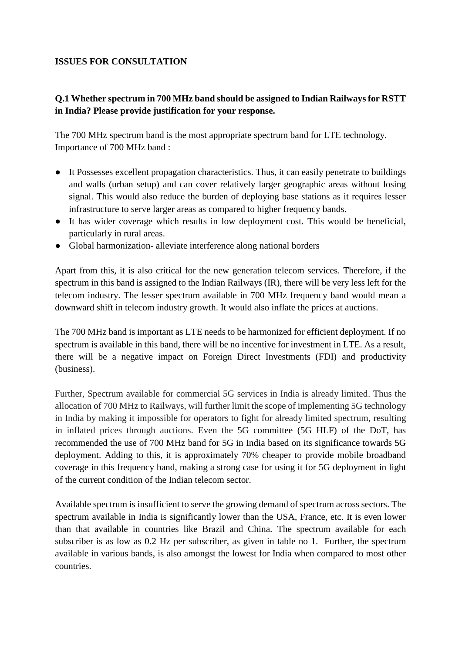#### **ISSUES FOR CONSULTATION**

## **Q.1 Whether spectrum in 700 MHz band should be assigned to Indian Railways for RSTT in India? Please provide justification for your response.**

The 700 MHz spectrum band is the most appropriate spectrum band for LTE technology. Importance of 700 MHz band :

- It Possesses excellent propagation characteristics. Thus, it can easily penetrate to buildings and walls (urban setup) and can cover relatively larger geographic areas without losing signal. This would also reduce the burden of deploying base stations as it requires lesser infrastructure to serve larger areas as compared to higher frequency bands.
- It has wider coverage which results in low deployment cost. This would be beneficial, particularly in rural areas.
- Global harmonization- alleviate interference along national borders

Apart from this, it is also critical for the new generation telecom services. Therefore, if the spectrum in this band is assigned to the Indian Railways (IR), there will be very less left for the telecom industry. The lesser spectrum available in 700 MHz frequency band would mean a downward shift in telecom industry growth. It would also inflate the prices at auctions.

The 700 MHz band is important as LTE needs to be harmonized for efficient deployment. If no spectrum is available in this band, there will be no incentive for investment in LTE. As a result, there will be a negative impact on Foreign Direct Investments (FDI) and productivity (business).

Further, Spectrum available for commercial 5G services in India is already limited. Thus the allocation of 700 MHz to Railways, will further limit the scope of implementing 5G technology in India by making it impossible for operators to fight for already limited spectrum, resulting in inflated prices through auctions. Even the 5G committee (5G HLF) of the DoT, has recommended the use of 700 MHz band for 5G in India based on its significance towards 5G deployment. Adding to this, it is approximately 70% cheaper to provide mobile broadband coverage in this frequency band, making a strong case for using it for 5G deployment in light of the current condition of the Indian telecom sector.

Available spectrum is insufficient to serve the growing demand of spectrum across sectors. The spectrum available in India is significantly lower than the USA, France, etc. It is even lower than that available in countries like Brazil and China. The spectrum available for each subscriber is as low as 0.2 Hz per subscriber, as given in table no 1. Further, the spectrum available in various bands, is also amongst the lowest for India when compared to most other countries.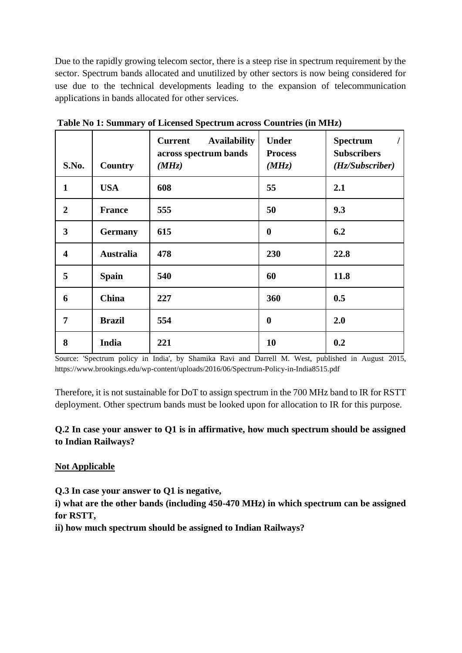Due to the rapidly growing telecom sector, there is a steep rise in spectrum requirement by the sector. Spectrum bands allocated and unutilized by other sectors is now being considered for use due to the technical developments leading to the expansion of telecommunication applications in bands allocated for other services.

|                         |                  | <b>Availability</b><br><b>Current</b><br>across spectrum bands | <b>Under</b><br><b>Process</b> | <b>Spectrum</b><br><b>Subscribers</b> |
|-------------------------|------------------|----------------------------------------------------------------|--------------------------------|---------------------------------------|
| S.No.                   | Country          | (MHz)                                                          | (MHz)                          | (Hz/Subscripter)                      |
| $\mathbf{1}$            | <b>USA</b>       | 608                                                            | 55                             | 2.1                                   |
| $\overline{2}$          | <b>France</b>    | 555                                                            | 50                             | 9.3                                   |
| 3                       | <b>Germany</b>   | 615                                                            | $\boldsymbol{0}$               | 6.2                                   |
| $\overline{\mathbf{4}}$ | <b>Australia</b> | 478                                                            | 230                            | 22.8                                  |
| 5                       | <b>Spain</b>     | 540                                                            | 60                             | 11.8                                  |
| 6                       | China            | 227                                                            | 360                            | 0.5                                   |
| 7                       | <b>Brazil</b>    | 554                                                            | $\boldsymbol{0}$               | 2.0                                   |
| 8                       | India            | 221                                                            | 10                             | 0.2                                   |

**Table No 1: Summary of Licensed Spectrum across Countries (in MHz)**

Source: 'Spectrum policy in India', by Shamika Ravi and Darrell M. West, published in August 2015, https://www.brookings.edu/wp-content/uploads/2016/06/Spectrum-Policy-in-India8515.pdf

Therefore, it is not sustainable for DoT to assign spectrum in the 700 MHz band to IR for RSTT deployment. Other spectrum bands must be looked upon for allocation to IR for this purpose.

## **Q.2 In case your answer to Q1 is in affirmative, how much spectrum should be assigned to Indian Railways?**

## **Not Applicable**

**Q.3 In case your answer to Q1 is negative,**

**i) what are the other bands (including 450-470 MHz) in which spectrum can be assigned for RSTT,**

**ii) how much spectrum should be assigned to Indian Railways?**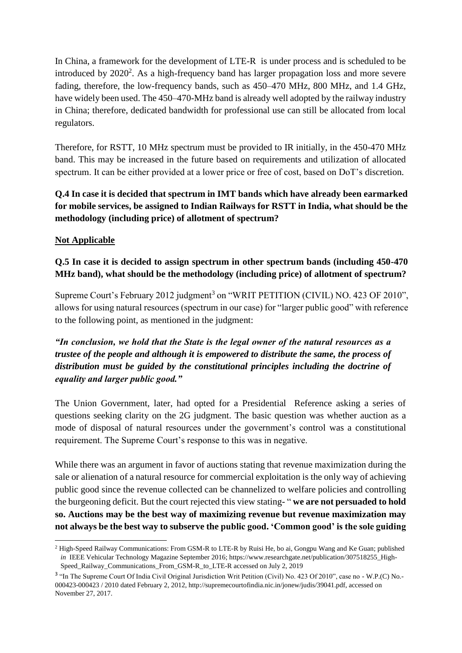In China, a framework for the development of LTE-R is under process and is scheduled to be introduced by  $2020^2$ . As a high-frequency band has larger propagation loss and more severe fading, therefore, the low-frequency bands, such as 450–470 MHz, 800 MHz, and 1.4 GHz, have widely been used. The 450–470-MHz band is already well adopted by the railway industry in China; therefore, dedicated bandwidth for professional use can still be allocated from local regulators.

Therefore, for RSTT, 10 MHz spectrum must be provided to IR initially, in the 450-470 MHz band. This may be increased in the future based on requirements and utilization of allocated spectrum. It can be either provided at a lower price or free of cost, based on DoT's discretion.

**Q.4 In case it is decided that spectrum in IMT bands which have already been earmarked for mobile services, be assigned to Indian Railways for RSTT in India, what should be the methodology (including price) of allotment of spectrum?**

## **Not Applicable**

 $\overline{\phantom{a}}$ 

**Q.5 In case it is decided to assign spectrum in other spectrum bands (including 450-470 MHz band), what should be the methodology (including price) of allotment of spectrum?**

Supreme Court's February 2012 judgment<sup>3</sup> on "WRIT PETITION (CIVIL) NO. 423 OF 2010", allows for using natural resources (spectrum in our case) for "larger public good" with reference to the following point, as mentioned in the judgment:

*"In conclusion, we hold that the State is the legal owner of the natural resources as a trustee of the people and although it is empowered to distribute the same, the process of distribution must be guided by the constitutional principles including the doctrine of equality and larger public good."*

The Union Government, later, had opted for a Presidential Reference asking a series of questions seeking clarity on the 2G judgment. The basic question was whether auction as a mode of disposal of natural resources under the government's control was a constitutional requirement. The Supreme Court's response to this was in negative.

While there was an argument in favor of auctions stating that revenue maximization during the sale or alienation of a natural resource for commercial exploitation is the only way of achieving public good since the revenue collected can be channelized to welfare policies and controlling the burgeoning deficit. But the court rejected this view stating- " **we are not persuaded to hold so. Auctions may be the best way of maximizing revenue but revenue maximization may not always be the best way to subserve the public good. 'Common good' is the sole guiding** 

<sup>2</sup> High-Speed Railway Communications: From GSM-R to LTE-R b[y Ruisi](https://www.researchgate.net/profile/Ruisi_He) He, [bo](https://www.researchgate.net/profile/Bo_Ai) ai[, Gongpu](https://www.researchgate.net/profile/Gongpu_Wang) Wang and Ke [Guan;](https://www.researchgate.net/profile/Ke_Guan) published *in* IEEE Vehicular Technology Magazine September 2016; https://www.researchgate.net/publication/307518255\_High-Speed\_Railway\_Communications\_From\_GSM-R\_to\_LTE-R accessed on July 2, 2019

<sup>&</sup>lt;sup>3</sup> "In The Supreme Court Of India Civil Original Jurisdiction Writ Petition (Civil) No. 423 Of 2010", case no - W.P.(C) No.-000423-000423 / 2010 dated February 2, 2012, http://supremecourtofindia.nic.in/jonew/judis/39041.pdf, accessed on November 27, 2017.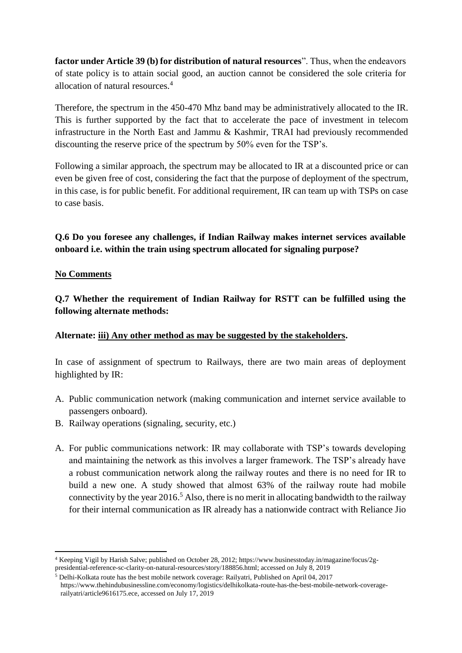**factor under Article 39 (b) for distribution of natural resources**". Thus, when the endeavors of state policy is to attain social good, an auction cannot be considered the sole criteria for allocation of natural resources.<sup>4</sup>

Therefore, the spectrum in the 450-470 Mhz band may be administratively allocated to the IR. This is further supported by the fact that to accelerate the pace of investment in telecom infrastructure in the North East and Jammu & Kashmir, TRAI had previously recommended discounting the reserve price of the spectrum by 50% even for the TSP's.

Following a similar approach, the spectrum may be allocated to IR at a discounted price or can even be given free of cost, considering the fact that the purpose of deployment of the spectrum, in this case, is for public benefit. For additional requirement, IR can team up with TSPs on case to case basis.

**Q.6 Do you foresee any challenges, if Indian Railway makes internet services available onboard i.e. within the train using spectrum allocated for signaling purpose?**

#### **No Comments**

 $\overline{a}$ 

**Q.7 Whether the requirement of Indian Railway for RSTT can be fulfilled using the following alternate methods:**

#### **Alternate: iii) Any other method as may be suggested by the stakeholders.**

In case of assignment of spectrum to Railways, there are two main areas of deployment highlighted by IR:

- A. Public communication network (making communication and internet service available to passengers onboard).
- B. Railway operations (signaling, security, etc.)
- A. For public communications network: IR may collaborate with TSP's towards developing and maintaining the network as this involves a larger framework. The TSP's already have a robust communication network along the railway routes and there is no need for IR to build a new one. A study showed that almost 63% of the railway route had mobile connectivity by the year  $2016<sup>5</sup>$  Also, there is no merit in allocating bandwidth to the railway for their internal communication as IR already has a nationwide contract with Reliance Jio

<sup>4</sup> Keeping Vigil by Harish Salve; published on October 28, 2012; https://www.businesstoday.in/magazine/focus/2gpresidential-reference-sc-clarity-on-natural-resources/story/188856.html; accessed on July 8, 2019

<sup>5</sup> Delhi-Kolkata route has the best mobile network coverage: Railyatri, Published on April 04, 2017 https://www.thehindubusinessline.com/economy/logistics/delhikolkata-route-has-the-best-mobile-network-coveragerailyatri/article9616175.ece, accessed on July 17, 2019